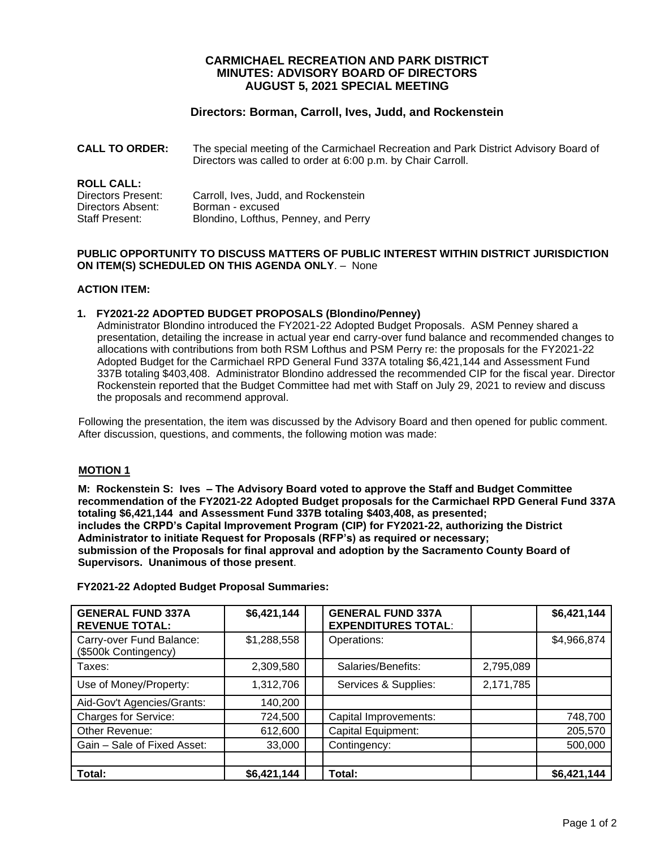## **CARMICHAEL RECREATION AND PARK DISTRICT MINUTES: ADVISORY BOARD OF DIRECTORS AUGUST 5, 2021 SPECIAL MEETING**

## **Directors: Borman, Carroll, Ives, Judd, and Rockenstein**

**CALL TO ORDER:** The special meeting of the Carmichael Recreation and Park District Advisory Board of Directors was called to order at 6:00 p.m. by Chair Carroll.

# **ROLL CALL:**

| Directors Present: | Carroll, Ives, Judd, and Rockenstein |
|--------------------|--------------------------------------|
| Directors Absent:  | Borman - excused                     |
| Staff Present:     | Blondino, Lofthus, Penney, and Perry |

#### **PUBLIC OPPORTUNITY TO DISCUSS MATTERS OF PUBLIC INTEREST WITHIN DISTRICT JURISDICTION ON ITEM(S) SCHEDULED ON THIS AGENDA ONLY**. – None

## **ACTION ITEM:**

### **1. FY2021-22 ADOPTED BUDGET PROPOSALS (Blondino/Penney)**

Administrator Blondino introduced the FY2021-22 Adopted Budget Proposals. ASM Penney shared a presentation, detailing the increase in actual year end carry-over fund balance and recommended changes to allocations with contributions from both RSM Lofthus and PSM Perry re: the proposals for the FY2021-22 Adopted Budget for the Carmichael RPD General Fund 337A totaling \$6,421,144 and Assessment Fund 337B totaling \$403,408. Administrator Blondino addressed the recommended CIP for the fiscal year. Director Rockenstein reported that the Budget Committee had met with Staff on July 29, 2021 to review and discuss the proposals and recommend approval.

Following the presentation, the item was discussed by the Advisory Board and then opened for public comment. After discussion, questions, and comments, the following motion was made:

### **MOTION 1**

**M: Rockenstein S: Ives – The Advisory Board voted to approve the Staff and Budget Committee recommendation of the FY2021-22 Adopted Budget proposals for the Carmichael RPD General Fund 337A totaling \$6,421,144 and Assessment Fund 337B totaling \$403,408, as presented; includes the CRPD's Capital Improvement Program (CIP) for FY2021-22, authorizing the District Administrator to initiate Request for Proposals (RFP's) as required or necessary; submission of the Proposals for final approval and adoption by the Sacramento County Board of Supervisors. Unanimous of those present**.

| <b>GENERAL FUND 337A</b><br><b>REVENUE TOTAL:</b> | \$6,421,144 | <b>GENERAL FUND 337A</b><br><b>EXPENDITURES TOTAL:</b> |           | \$6,421,144 |
|---------------------------------------------------|-------------|--------------------------------------------------------|-----------|-------------|
| Carry-over Fund Balance:<br>(\$500k Contingency)  | \$1,288,558 | Operations:                                            |           | \$4,966,874 |
| Taxes:                                            | 2,309,580   | Salaries/Benefits:                                     | 2,795,089 |             |
| Use of Money/Property:                            | 1,312,706   | Services & Supplies:                                   | 2,171,785 |             |
| Aid-Gov't Agencies/Grants:                        | 140,200     |                                                        |           |             |
| <b>Charges for Service:</b>                       | 724,500     | Capital Improvements:                                  |           | 748,700     |
| Other Revenue:                                    | 612,600     | Capital Equipment:                                     |           | 205,570     |
| Gain - Sale of Fixed Asset:                       | 33,000      | Contingency:                                           |           | 500,000     |
|                                                   |             |                                                        |           |             |
| Total:                                            | \$6,421,144 | Total:                                                 |           | \$6,421,144 |

**FY2021-22 Adopted Budget Proposal Summaries:**